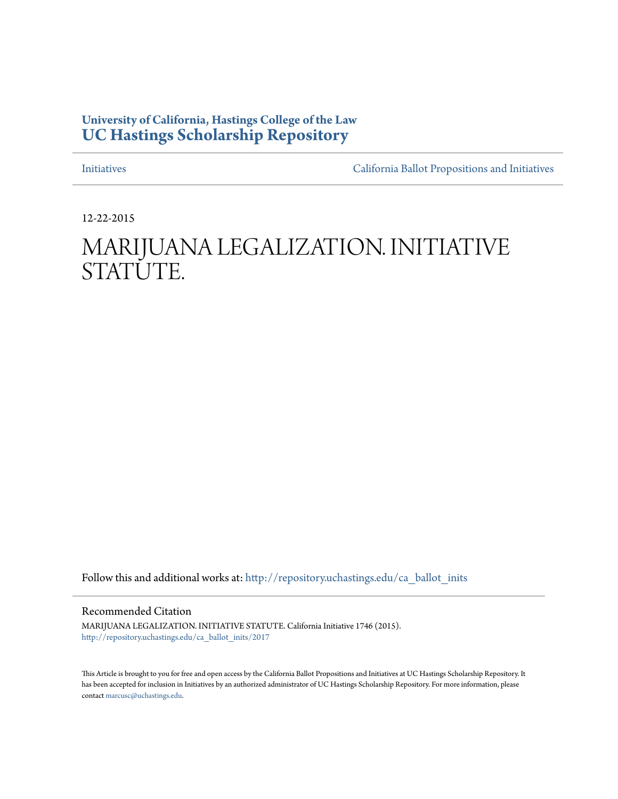# **University of California, Hastings College of the Law [UC Hastings Scholarship Repository](http://repository.uchastings.edu?utm_source=repository.uchastings.edu%2Fca_ballot_inits%2F2017&utm_medium=PDF&utm_campaign=PDFCoverPages)**

[Initiatives](http://repository.uchastings.edu/ca_ballot_inits?utm_source=repository.uchastings.edu%2Fca_ballot_inits%2F2017&utm_medium=PDF&utm_campaign=PDFCoverPages) [California Ballot Propositions and Initiatives](http://repository.uchastings.edu/ca_ballots?utm_source=repository.uchastings.edu%2Fca_ballot_inits%2F2017&utm_medium=PDF&utm_campaign=PDFCoverPages)

12-22-2015

# MARIJUANA LEGALIZATION. INITIATIVE STATUTE.

Follow this and additional works at: [http://repository.uchastings.edu/ca\\_ballot\\_inits](http://repository.uchastings.edu/ca_ballot_inits?utm_source=repository.uchastings.edu%2Fca_ballot_inits%2F2017&utm_medium=PDF&utm_campaign=PDFCoverPages)

Recommended Citation

MARIJUANA LEGALIZATION. INITIATIVE STATUTE. California Initiative 1746 (2015). [http://repository.uchastings.edu/ca\\_ballot\\_inits/2017](http://repository.uchastings.edu/ca_ballot_inits/2017?utm_source=repository.uchastings.edu%2Fca_ballot_inits%2F2017&utm_medium=PDF&utm_campaign=PDFCoverPages)

This Article is brought to you for free and open access by the California Ballot Propositions and Initiatives at UC Hastings Scholarship Repository. It has been accepted for inclusion in Initiatives by an authorized administrator of UC Hastings Scholarship Repository. For more information, please contact [marcusc@uchastings.edu](mailto:marcusc@uchastings.edu).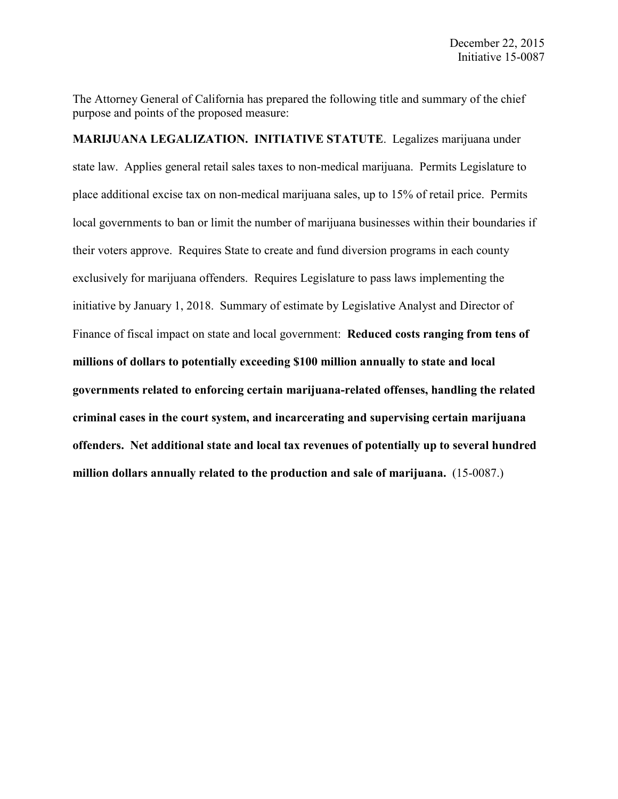The Attorney General of California has prepared the following title and summary of the chief purpose and points of the proposed measure:

**MARIJUANA LEGALIZATION. INITIATIVE STATUTE**. Legalizes marijuana under state law. Applies general retail sales taxes to non-medical marijuana. Permits Legislature to place additional excise tax on non-medical marijuana sales, up to 15% of retail price. Permits local governments to ban or limit the number of marijuana businesses within their boundaries if their voters approve. Requires State to create and fund diversion programs in each county exclusively for marijuana offenders. Requires Legislature to pass laws implementing the initiative by January 1, 2018. Summary of estimate by Legislative Analyst and Director of Finance of fiscal impact on state and local government: **Reduced costs ranging from tens of millions of dollars to potentially exceeding \$100 million annually to state and local governments related to enforcing certain marijuana-related offenses, handling the related criminal cases in the court system, and incarcerating and supervising certain marijuana offenders. Net additional state and local tax revenues of potentially up to several hundred million dollars annually related to the production and sale of marijuana.** (15-0087.)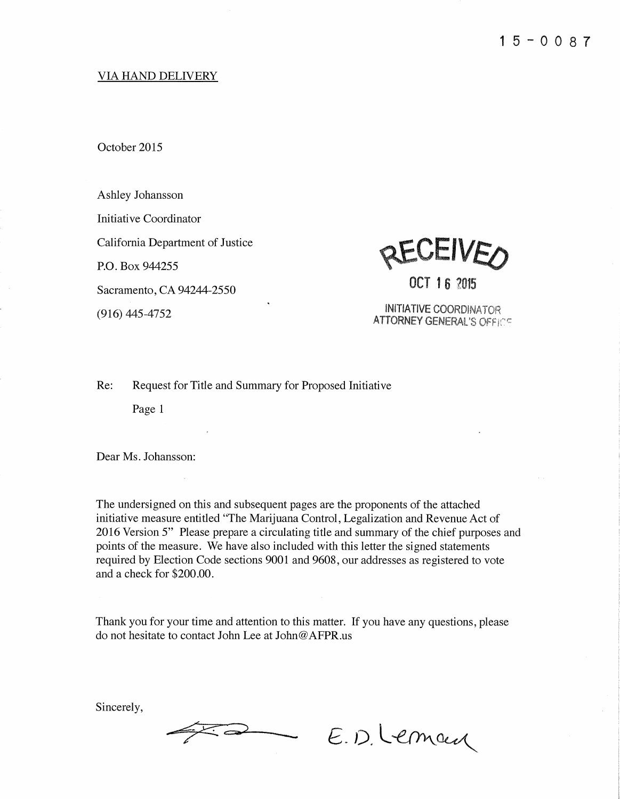# **VIA HAND DELIVERY**

October 2015

Ashley Johansson

Initiative Coordinator

California Department of Justice

P.O. Box 944255

Sacramento, CA 94244-2550

 $(916)$  445-4752



OCT 16 2015

**INITIATIVE COORDINATOR ATTORNEY GENERAL'S OFFICE** 

Re: Request for Title and Summary for Proposed Initiative

Page 1

Dear Ms. Johansson:

The undersigned on this and subsequent pages are the proponents of the attached initiative measure entitled "The Marijuana Control, Legalization and Revenue Act of 2016 Version 5" Please prepare a circulating title and summary of the chief purposes and points of the measure. We have also included with this letter the signed statements required by Election Code sections 9001 and 9608, our addresses as registered to vote and a check for \$200.00.

Thank you for your time and attention to this matter. If you have any questions, please do not hesitate to contact John Lee at John@AFPR.us

Sincerely,

E.D. Leman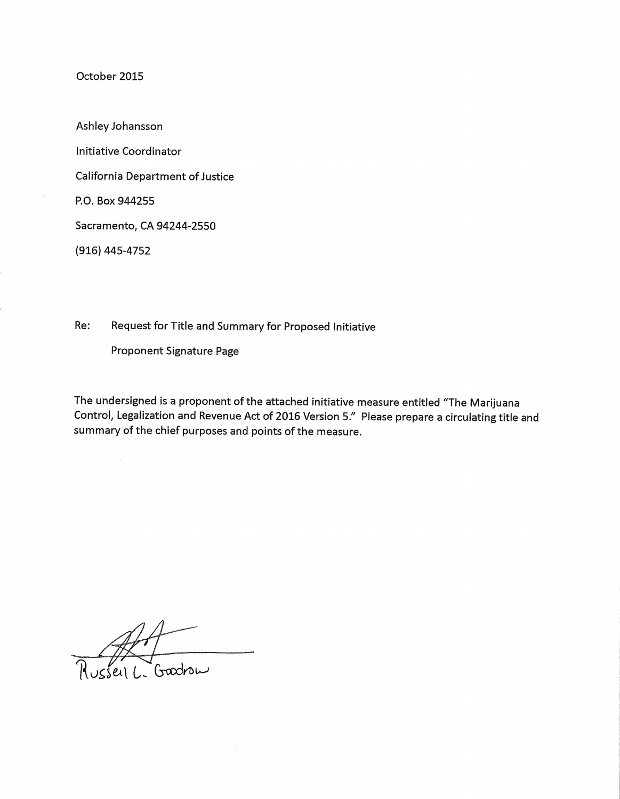Ashley Johansson

**Initiative Coordinator** 

**California Department of Justice** 

P.O. Box 944255

Sacramento, CA 94244-2550

(916) 445-4752

Request for Title and Summary for Proposed Initiative Re:

Proponent Signature Page

usseil L-Goodrow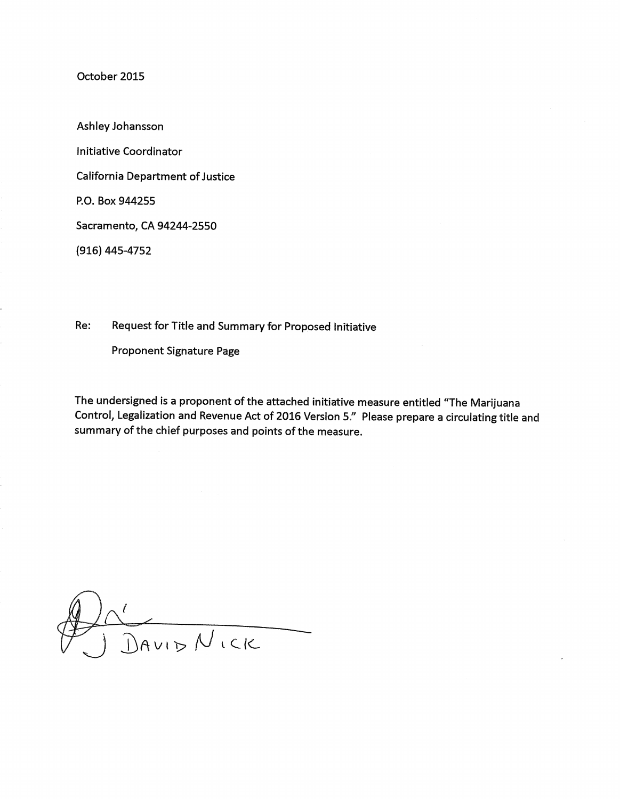Ashley Johansson **Initiative Coordinator California Department of Justice** P.O. Box 944255 Sacramento, CA 94244-2550  $(916)$  445-4752

Re: Request for Title and Summary for Proposed Initiative

**Proponent Signature Page** 

DAVID NICK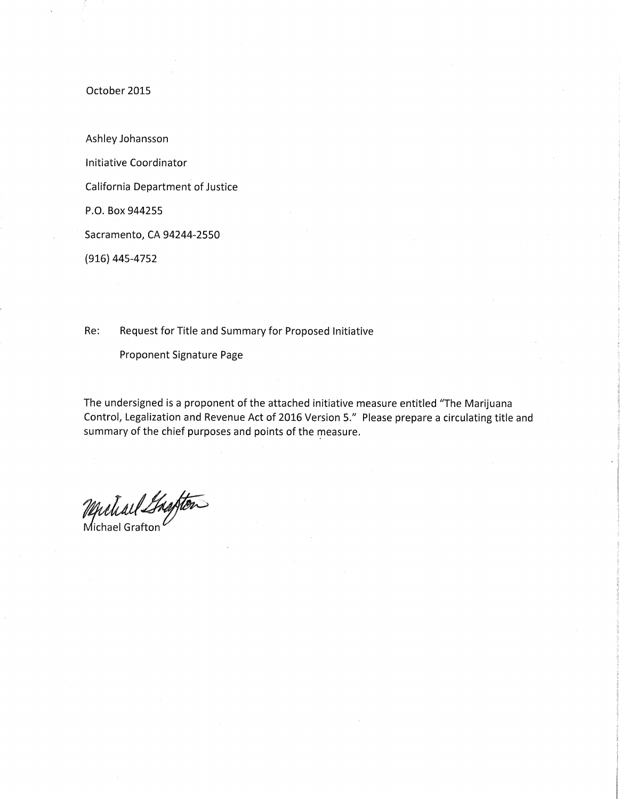Ashley Johansson

Initiative Coordinator

California Department of Justice

P.O. Box 944255

Sacramento, CA 94244-2550

(916) 445-4752

Request for Title and Summary for Proposed Initiative Re:

Proponent Signature Page

Muliard Shafter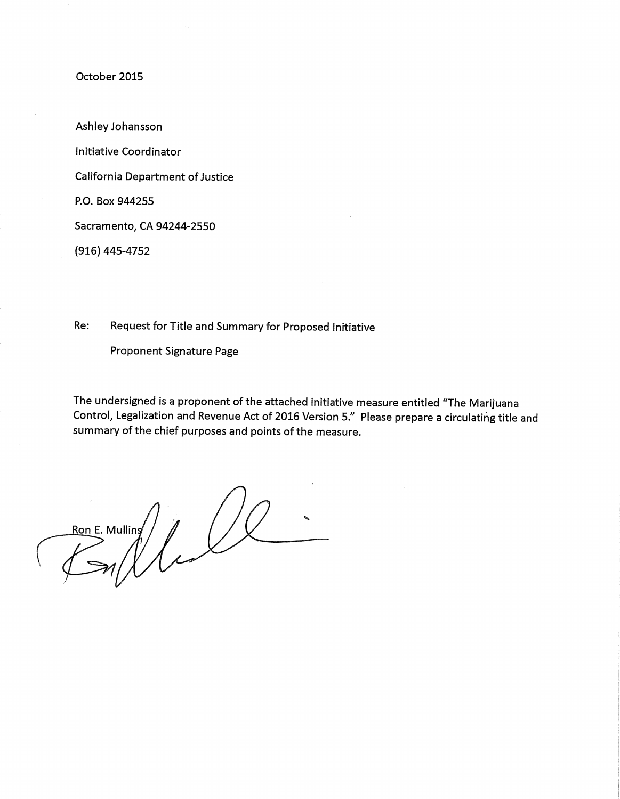Ashley Johansson **Initiative Coordinator** 

**California Department of Justice** 

P.O. Box 944255

Sacramento, CA 94244-2550

(916) 445-4752

Re: Request for Title and Summary for Proposed Initiative

**Proponent Signature Page** 

RODE. Mulling /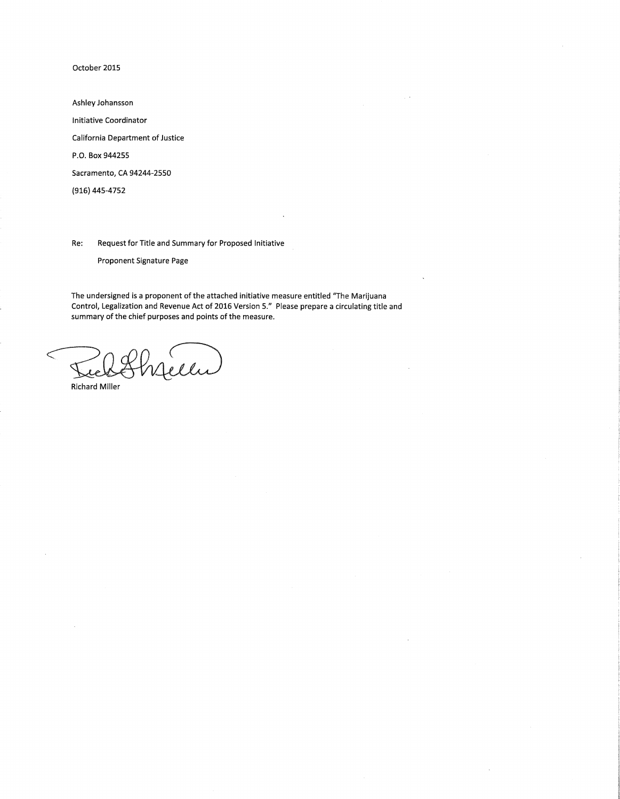Ashley Johansson Initiative Coordinator California Department of Justice P.O. Box 944255 Sacramento, CA 94244-2550 (916) 445-4752

Re: Request for Title and Summary for Proposed Initiative

Proponent Signature Page

The undersigned is a proponent of the attached initiative measure entitled "The Marijuana Control, Legalization and Revenue Act of 2016 Version 5." Please prepare a circulating title and summary of the chief purposes and points of the measure.

lis

**Richard Miller**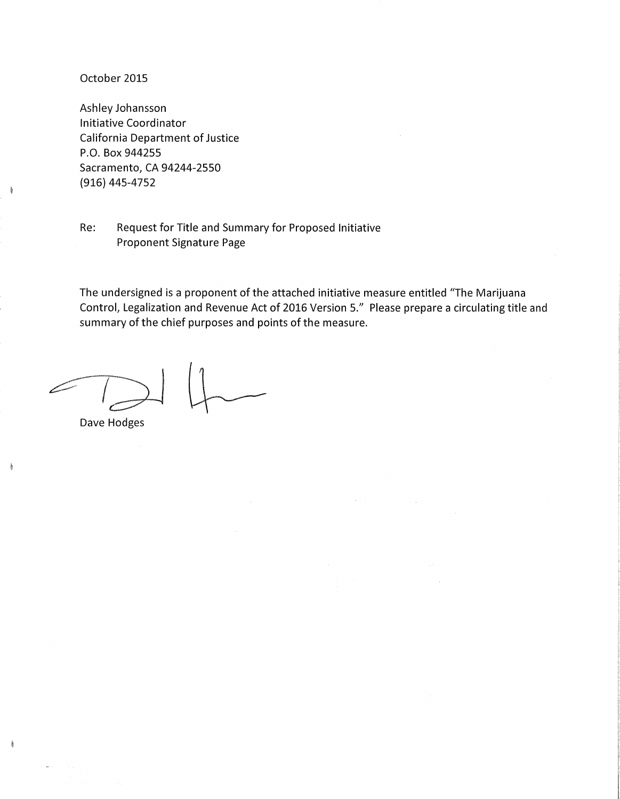k

ķ

ķ

Ashley Johansson Initiative Coordinator **California Department of Justice** P.O. Box 944255 Sacramento, CA 94244-2550  $(916)$  445-4752

Request for Title and Summary for Proposed Initiative Re: **Proponent Signature Page** 

Dave Hodges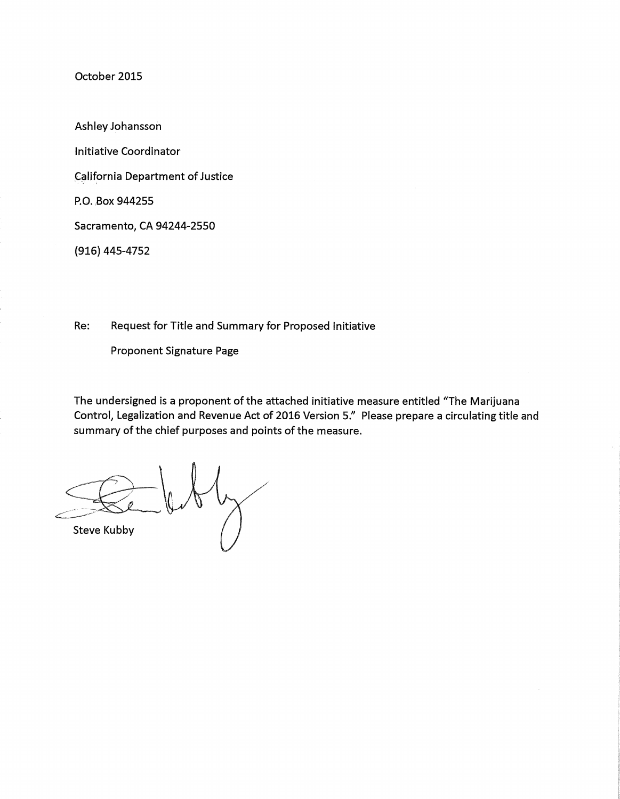Ashley Johansson **Initiative Coordinator California Department of Justice** P.O. Box 944255 Sacramento, CA 94244-2550 (916) 445-4752

Re: Request for Title and Summary for Proposed Initiative

Proponent Signature Page

**Steve Kubby**